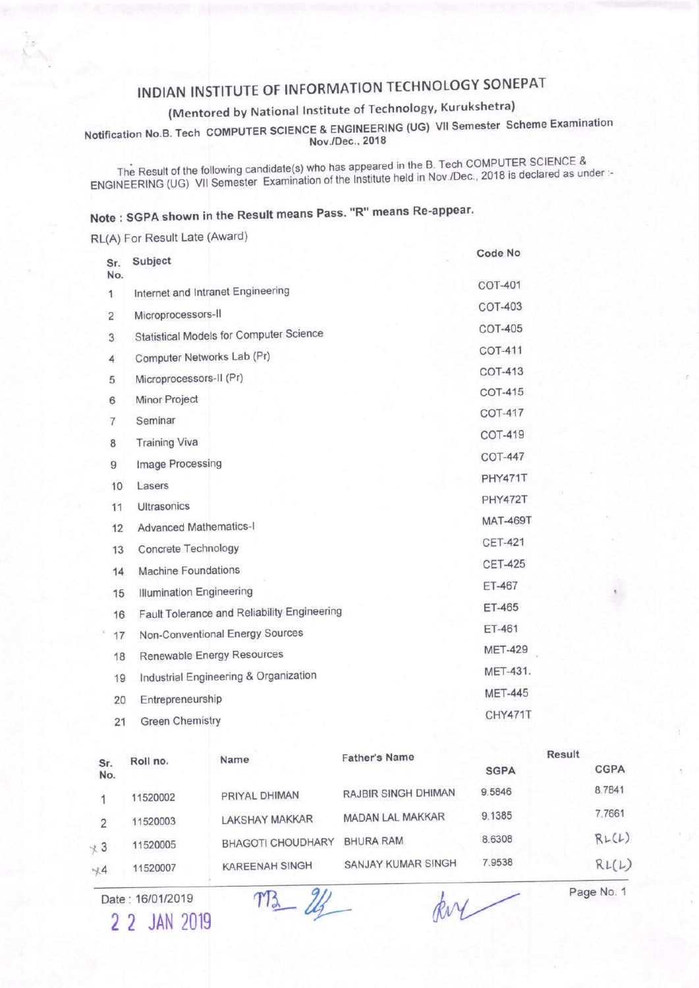## INDIAN INSTITUTE OF INFORMATION TECHNOLOGY SONEPAT

## (Mentored by National Institute of Technology, Kurukshetra)

Notification No.B. Tech COMPUTER SCIENCE & ENGINEERING (UG) VII Semester Scheme Examination Nov./Dec., 2018

The Result of the following candidate(s) who has appeared in the B. Tech COMPUTER SCIENCE & ENGINEERING (UG) VII Semester Examination of the Institute held in Nov./Dec., 2018 is declared as under :-

## Note: SGPA shown in the Result means Pass. "R" means Re-appear.

RL(A) For Result Late (Award) Code No Subject Sr. No. **COT-401** Internet and Intranet Engineering 1 **COT-403** Microprocessors-II  $\overline{2}$ **COT-405 Statistical Models for Computer Science** 3 **COT-411** Computer Networks Lab (Pr)  $\overline{4}$ **COT-413** Microprocessors-II (Pr) 5 **COT-415** Minor Project 6 COT-417  $\overline{7}$ Seminar **COT-419 Training Viva**  $\mathbf{R}$ **COT-447** Image Processing 9 PHY471T Lasers 10 **PHY472T** Ultrasonics 11 **MAT-469T Advanced Mathematics-I** 12 **CET-421** Concrete Technology 13 **CET-425** Machine Foundations  $14$ ET-467 **Illumination Engineering** 15 **ET-465** Fault Tolerance and Reliability Engineering 16 ET-461 Non-Conventional Energy Sources 17 **MET-429 Renewable Energy Resources** 18 MET-431. Industrial Engineering & Organization 19 **MET-445** Entrepreneurship 20 CHY471T  $21$ **Green Chemistry** 

| Sr.<br>No. | Roll no. | Name                     | <b>Father's Name</b>       | Result      |  |             |
|------------|----------|--------------------------|----------------------------|-------------|--|-------------|
|            |          |                          |                            | <b>SGPA</b> |  | <b>CGPA</b> |
|            | 11520002 | PRIYAL DHIMAN            | <b>RAJBIR SINGH DHIMAN</b> | 9.5846      |  | 8.7841      |
|            | 11520003 | <b>LAKSHAY MAKKAR</b>    | MADAN LAL MAKKAR           | 9.1385      |  | 7.7661      |
| $\sqrt{3}$ | 11520005 | <b>BHAGOTI CHOUDHARY</b> | <b>BHURA RAM</b>           | 8.6308      |  | RL(L)       |
| $+4$       | 11520007 | <b>KAREENAH SINGH</b>    | SANJAY KUMAR SINGH         | 7.9538      |  | RL(L)       |
|            |          |                          |                            |             |  |             |

Date: 16/01/2019

2 2 JAN 2019

TB\_ 24

ky

Page No. 1